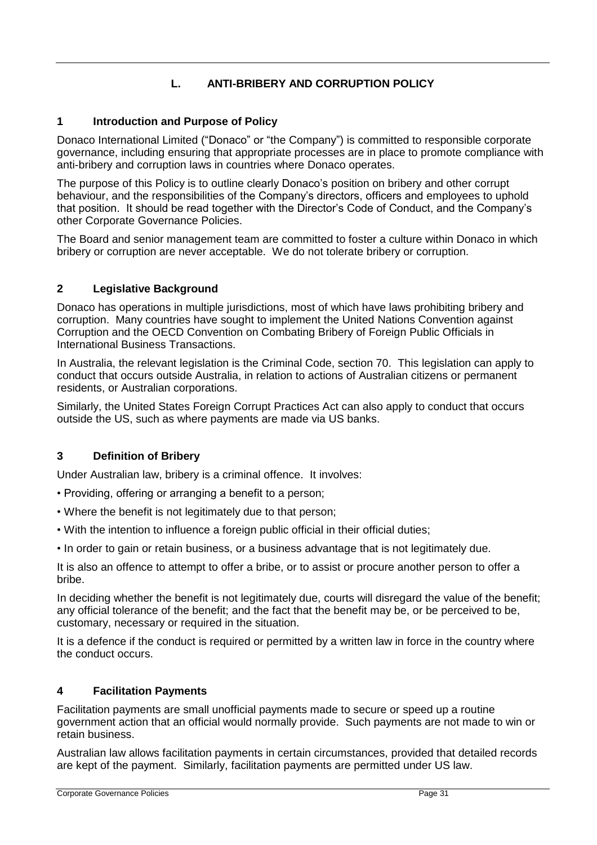# **L. ANTI-BRIBERY AND CORRUPTION POLICY**

# **1 Introduction and Purpose of Policy**

Donaco International Limited ("Donaco" or "the Company") is committed to responsible corporate governance, including ensuring that appropriate processes are in place to promote compliance with anti-bribery and corruption laws in countries where Donaco operates.

The purpose of this Policy is to outline clearly Donaco's position on bribery and other corrupt behaviour, and the responsibilities of the Company's directors, officers and employees to uphold that position. It should be read together with the Director's Code of Conduct, and the Company's other Corporate Governance Policies.

The Board and senior management team are committed to foster a culture within Donaco in which bribery or corruption are never acceptable. We do not tolerate bribery or corruption.

# **2 Legislative Background**

Donaco has operations in multiple jurisdictions, most of which have laws prohibiting bribery and corruption. Many countries have sought to implement the United Nations Convention against Corruption and the OECD Convention on Combating Bribery of Foreign Public Officials in International Business Transactions.

In Australia, the relevant legislation is the Criminal Code, section 70. This legislation can apply to conduct that occurs outside Australia, in relation to actions of Australian citizens or permanent residents, or Australian corporations.

Similarly, the United States Foreign Corrupt Practices Act can also apply to conduct that occurs outside the US, such as where payments are made via US banks.

### **3 Definition of Bribery**

Under Australian law, bribery is a criminal offence. It involves:

- Providing, offering or arranging a benefit to a person;
- Where the benefit is not legitimately due to that person;
- With the intention to influence a foreign public official in their official duties;
- In order to gain or retain business, or a business advantage that is not legitimately due.

It is also an offence to attempt to offer a bribe, or to assist or procure another person to offer a bribe.

In deciding whether the benefit is not legitimately due, courts will disregard the value of the benefit; any official tolerance of the benefit; and the fact that the benefit may be, or be perceived to be, customary, necessary or required in the situation.

It is a defence if the conduct is required or permitted by a written law in force in the country where the conduct occurs.

### **4 Facilitation Payments**

Facilitation payments are small unofficial payments made to secure or speed up a routine government action that an official would normally provide. Such payments are not made to win or retain business.

Australian law allows facilitation payments in certain circumstances, provided that detailed records are kept of the payment. Similarly, facilitation payments are permitted under US law.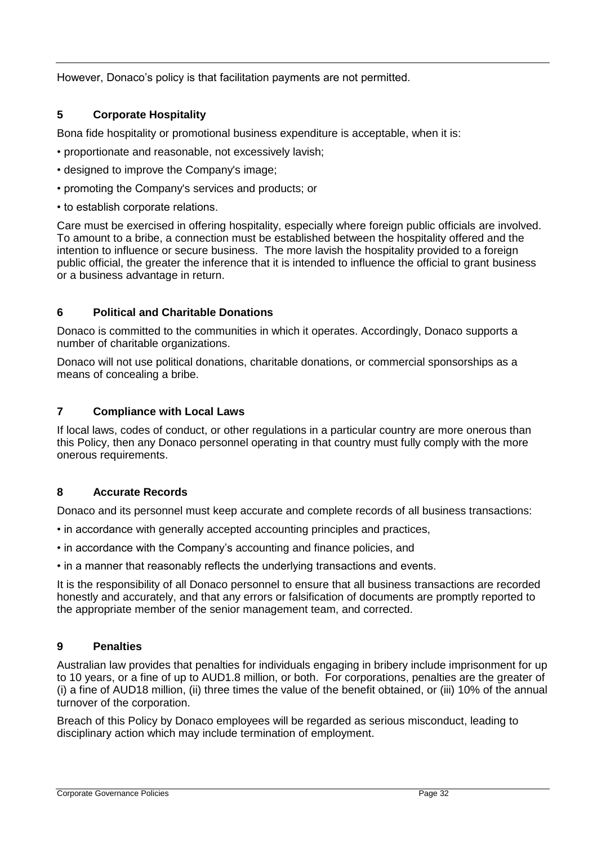However, Donaco's policy is that facilitation payments are not permitted.

### **5 Corporate Hospitality**

Bona fide hospitality or promotional business expenditure is acceptable, when it is:

- proportionate and reasonable, not excessively lavish;
- designed to improve the Company's image;
- promoting the Company's services and products; or
- to establish corporate relations.

Care must be exercised in offering hospitality, especially where foreign public officials are involved. To amount to a bribe, a connection must be established between the hospitality offered and the intention to influence or secure business. The more lavish the hospitality provided to a foreign public official, the greater the inference that it is intended to influence the official to grant business or a business advantage in return.

#### **6 Political and Charitable Donations**

Donaco is committed to the communities in which it operates. Accordingly, Donaco supports a number of charitable organizations.

Donaco will not use political donations, charitable donations, or commercial sponsorships as a means of concealing a bribe.

#### **7 Compliance with Local Laws**

If local laws, codes of conduct, or other regulations in a particular country are more onerous than this Policy, then any Donaco personnel operating in that country must fully comply with the more onerous requirements.

#### **8 Accurate Records**

Donaco and its personnel must keep accurate and complete records of all business transactions:

- in accordance with generally accepted accounting principles and practices,
- in accordance with the Company's accounting and finance policies, and
- in a manner that reasonably reflects the underlying transactions and events.

It is the responsibility of all Donaco personnel to ensure that all business transactions are recorded honestly and accurately, and that any errors or falsification of documents are promptly reported to the appropriate member of the senior management team, and corrected.

#### **9 Penalties**

Australian law provides that penalties for individuals engaging in bribery include imprisonment for up to 10 years, or a fine of up to AUD1.8 million, or both. For corporations, penalties are the greater of (i) a fine of AUD18 million, (ii) three times the value of the benefit obtained, or (iii) 10% of the annual turnover of the corporation.

Breach of this Policy by Donaco employees will be regarded as serious misconduct, leading to disciplinary action which may include termination of employment.